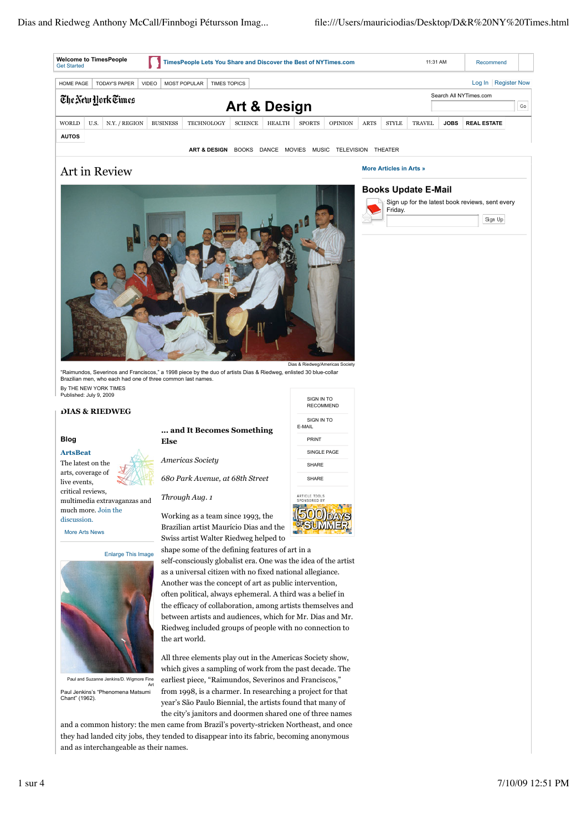| <b>HOME PAGE</b>                   |      | <b>TODAY'S PAPER</b> | <b>VIDEO</b> | <b>MOST POPULAR</b> | <b>TIMES TOPICS</b>     |                |              |  |               |                  |
|------------------------------------|------|----------------------|--------------|---------------------|-------------------------|----------------|--------------|--|---------------|------------------|
| The New York Times<br>Art & Design |      |                      |              |                     |                         |                |              |  |               |                  |
| WORLD                              | U.S. | N.Y. / REGION        |              | <b>BUSINESS</b>     | <b>TECHNOLOGY</b>       | <b>SCIENCE</b> | HEALTH       |  | <b>SPORTS</b> | <b>OPINION</b>   |
| <b>AUTOS</b>                       |      |                      |              |                     |                         |                |              |  |               |                  |
|                                    |      |                      |              |                     | <b>ART &amp; DESIGN</b> | <b>BOOKS</b>   | DANCE MOVIES |  | MUSIC         | <b>TELEVISIO</b> |

# Art in Review



"Raimundos, Severinos and Franciscos," a 1998 piece by the duo of artists Dias & Riedweg, enlisted 30 blue-collar Brazilian men, who each had one of three common last names. By THE NEW YORK TIMES Published: July 9, 2009

# **DIAS & RIEDWEG**

### **Blog**

#### **ArtsBeat**

The latest on the arts, coverage of live events, critical reviews, multimedia extravaganzas and much more. Join the discussion.

More Arts News



Paul and Suzanne Jenkins/D. Wigmore Fine Art

Paul Jenkins's "Phenomena Matsumi Chant" (1962).

## **... and It Becomes Something Else**

*Americas Society*

*680 Park Avenue, at 68th Street*

*Through Aug. 1*

Working as a team since 1993, the Brazilian artist Maurício Dias and the Swiss artist Walter Riedweg helped to

shape some of the defining features of art in a self-consciously globalist era. One was the idea of the artist as a universal citizen with no fixed national allegiance. Another was the concept of art as public intervention, often political, always ephemeral. A third was a belief in the efficacy of collaboration, among artists themselves and between artists and audiences, which for Mr. Dias and Mr. Riedweg included groups of people with no connection to the art world.

All three elements play out in the Americas Society show, which gives a sampling of work from the past decade. The earliest piece, "Raimundos, Severinos and Franciscos," from 1998, is a charmer. In researching a project for that year's São Paulo Biennial, the artists found that many of the city's janitors and doormen shared one of three names

and a common history: the men came from Brazil's poverty-stricken Northeast, and once they had landed city jobs, they tended to disappear into its fabric, becoming anonymous and as interchangeable as their names.